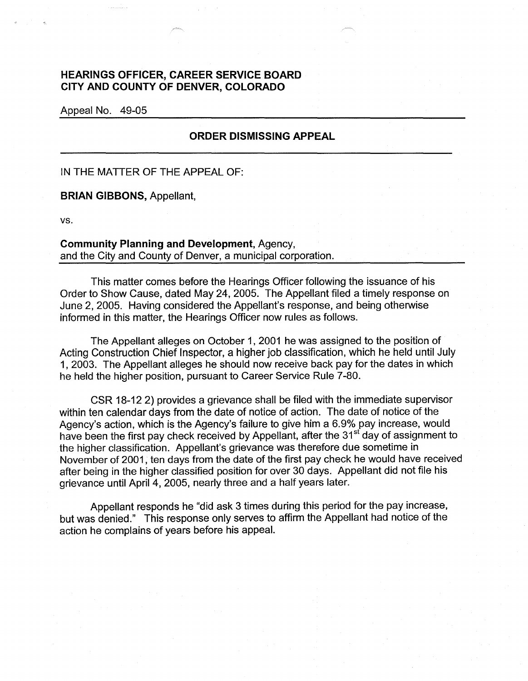## **HEARINGS OFFICER, CAREER SERVICE BOARD CITY AND COUNTY OF DENVER, COLORADO**

Appeal No. 49-05

## **ORDER DISMISSING APPEAL**

## IN THE MATTER OF THE APPEAL OF:

**BRIAN GIBBONS,** Appellant,

vs.

## **Community Planning and Development,** Agency, and the City and County of Denver, a municipal corporation.

This matter comes before the Hearings Officer following the issuance of his Order to Show Cause, dated May 24, 2005. The Appellant filed a timely response on June 2, 2005. Having considered the Appellant's response, and being otherwise informed in this matter, the Hearings Officer now rules as follows.

The Appellant alleges on October 1, 2001 he was assigned to the position of Acting Construction Chief Inspector, a higher job classification, which he held until July 1, 2003. The Appellant alleges he should now receive back pay for the dates in which he held the higher position, pursuant to Career Service Rule 7-80.

CSR 18-12 2) provides a grievance shall be filed with the immediate supervisor within ten calendar days from the date of notice of action. The date of notice of the Agency's action, which is the Agency's failure to give him a 6.9% pay increase, would have been the first pay check received by Appellant, after the 31<sup>st</sup> day of assignment to the higher classification. Appellant's grievance was therefore due sometime in November of 2001, ten days from the date of the first pay check he would have received after being in the higher classified position for over 30 days. Appellant did not file his grievance until April 4, 2005, nearly three and a half years later.

Appellant responds he "did ask 3 times during this period for the pay increase, but was denied." This response only serves to affirm the Appellant had notice of the action he complains of years before his appeal.